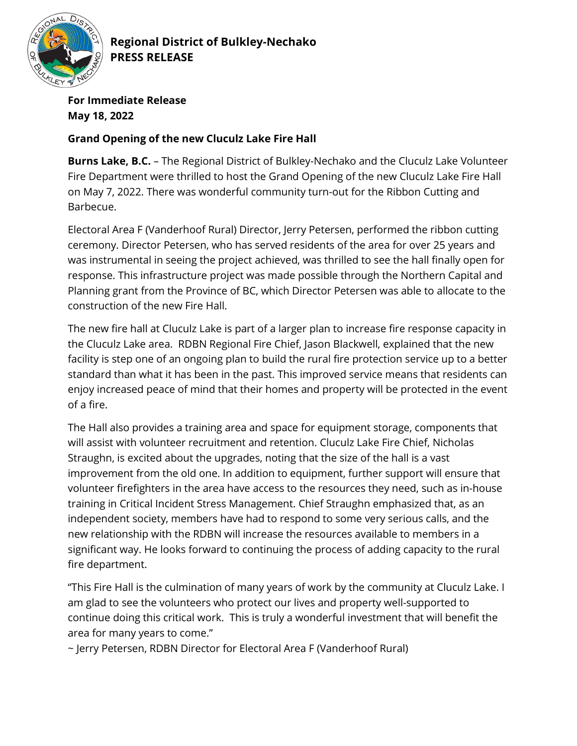

**Regional District of Bulkley-Nechako PRESS RELEASE** 

**For Immediate Release May 18, 2022**

## **Grand Opening of the new Cluculz Lake Fire Hall**

**Burns Lake, B.C.** – The Regional District of Bulkley-Nechako and the Cluculz Lake Volunteer Fire Department were thrilled to host the Grand Opening of the new Cluculz Lake Fire Hall on May 7, 2022. There was wonderful community turn-out for the Ribbon Cutting and Barbecue.

Electoral Area F (Vanderhoof Rural) Director, Jerry Petersen, performed the ribbon cutting ceremony. Director Petersen, who has served residents of the area for over 25 years and was instrumental in seeing the project achieved, was thrilled to see the hall finally open for response. This infrastructure project was made possible through the Northern Capital and Planning grant from the Province of BC, which Director Petersen was able to allocate to the construction of the new Fire Hall.

The new fire hall at Cluculz Lake is part of a larger plan to increase fire response capacity in the Cluculz Lake area. RDBN Regional Fire Chief, Jason Blackwell, explained that the new facility is step one of an ongoing plan to build the rural fire protection service up to a better standard than what it has been in the past. This improved service means that residents can enjoy increased peace of mind that their homes and property will be protected in the event of a fire.

The Hall also provides a training area and space for equipment storage, components that will assist with volunteer recruitment and retention. Cluculz Lake Fire Chief, Nicholas Straughn, is excited about the upgrades, noting that the size of the hall is a vast improvement from the old one. In addition to equipment, further support will ensure that volunteer firefighters in the area have access to the resources they need, such as in-house training in Critical Incident Stress Management. Chief Straughn emphasized that, as an independent society, members have had to respond to some very serious calls, and the new relationship with the RDBN will increase the resources available to members in a significant way. He looks forward to continuing the process of adding capacity to the rural fire department.

"This Fire Hall is the culmination of many years of work by the community at Cluculz Lake. I am glad to see the volunteers who protect our lives and property well-supported to continue doing this critical work. This is truly a wonderful investment that will benefit the area for many years to come."

~ Jerry Petersen, RDBN Director for Electoral Area F (Vanderhoof Rural)